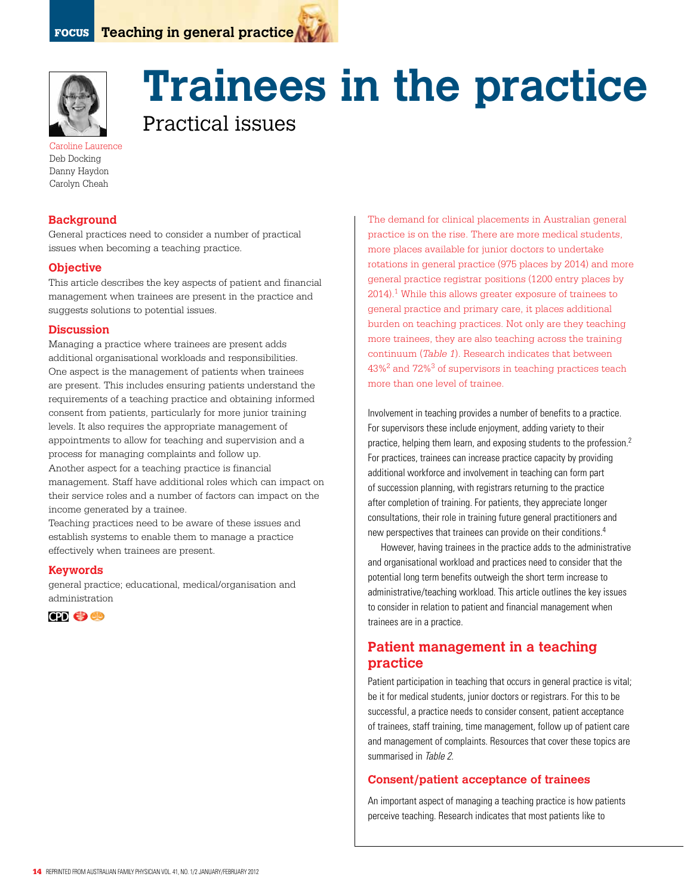

# **Trainees in the practice**

Practical issues

Caroline Laurence Deb Docking Danny Haydon Carolyn Cheah

## **Background**

General practices need to consider a number of practical issues when becoming a teaching practice.

## **Objective**

This article describes the key aspects of patient and financial management when trainees are present in the practice and suggests solutions to potential issues.

## **Discussion**

Managing a practice where trainees are present adds additional organisational workloads and responsibilities. One aspect is the management of patients when trainees are present. This includes ensuring patients understand the requirements of a teaching practice and obtaining informed consent from patients, particularly for more junior training levels. It also requires the appropriate management of appointments to allow for teaching and supervision and a process for managing complaints and follow up. Another aspect for a teaching practice is financial

management. Staff have additional roles which can impact on their service roles and a number of factors can impact on the income generated by a trainee.

Teaching practices need to be aware of these issues and establish systems to enable them to manage a practice effectively when trainees are present.

## **Keywords**

general practice; educational, medical/organisation and administration



The demand for clinical placements in Australian general practice is on the rise. There are more medical students, more places available for junior doctors to undertake rotations in general practice (975 places by 2014) and more general practice registrar positions (1200 entry places by 2014).1 While this allows greater exposure of trainees to general practice and primary care, it places additional burden on teaching practices. Not only are they teaching more trainees, they are also teaching across the training continuum (*Table 1*). Research indicates that between 43%2 and 72%3 of supervisors in teaching practices teach more than one level of trainee.

Involvement in teaching provides a number of benefits to a practice. For supervisors these include enjoyment, adding variety to their practice, helping them learn, and exposing students to the profession.2 For practices, trainees can increase practice capacity by providing additional workforce and involvement in teaching can form part of succession planning, with registrars returning to the practice after completion of training. For patients, they appreciate longer consultations, their role in training future general practitioners and new perspectives that trainees can provide on their conditions.4

However, having trainees in the practice adds to the administrative and organisational workload and practices need to consider that the potential long term benefits outweigh the short term increase to administrative/teaching workload. This article outlines the key issues to consider in relation to patient and financial management when trainees are in a practice.

# **Patient management in a teaching practice**

Patient participation in teaching that occurs in general practice is vital; be it for medical students, junior doctors or registrars. For this to be successful, a practice needs to consider consent, patient acceptance of trainees, staff training, time management, follow up of patient care and management of complaints. Resources that cover these topics are summarised in Table 2.

## **Consent/patient acceptance of trainees**

An important aspect of managing a teaching practice is how patients perceive teaching. Research indicates that most patients like to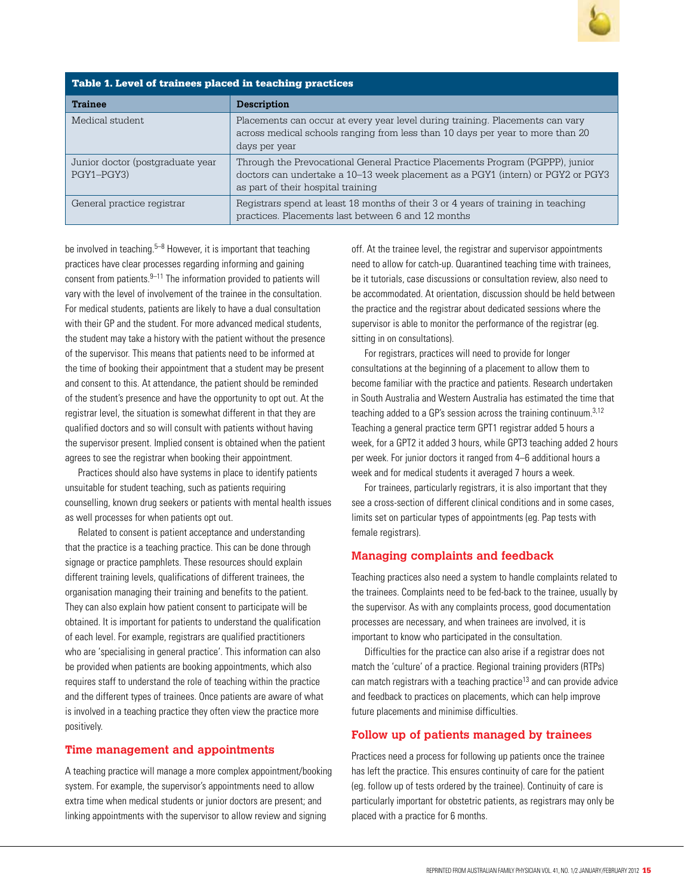

| Table 1. Level of trainees placed in teaching practices |                                                                                                                                                                                                        |  |
|---------------------------------------------------------|--------------------------------------------------------------------------------------------------------------------------------------------------------------------------------------------------------|--|
| <b>Trainee</b>                                          | <b>Description</b>                                                                                                                                                                                     |  |
| Medical student                                         | Placements can occur at every year level during training. Placements can vary<br>across medical schools ranging from less than 10 days per year to more than 20<br>days per year                       |  |
| Junior doctor (postgraduate year<br>PGY1-PGY3)          | Through the Prevocational General Practice Placements Program (PGPPP), junior<br>doctors can undertake a 10–13 week placement as a PGY1 (intern) or PGY2 or PGY3<br>as part of their hospital training |  |
| General practice registrar                              | Registrars spend at least 18 months of their 3 or 4 years of training in teaching<br>practices. Placements last between 6 and 12 months                                                                |  |

be involved in teaching. $5-8$  However, it is important that teaching practices have clear processes regarding informing and gaining consent from patients. $9-11$  The information provided to patients will vary with the level of involvement of the trainee in the consultation. For medical students, patients are likely to have a dual consultation with their GP and the student. For more advanced medical students, the student may take a history with the patient without the presence of the supervisor. This means that patients need to be informed at the time of booking their appointment that a student may be present and consent to this. At attendance, the patient should be reminded of the student's presence and have the opportunity to opt out. At the registrar level, the situation is somewhat different in that they are qualified doctors and so will consult with patients without having the supervisor present. Implied consent is obtained when the patient agrees to see the registrar when booking their appointment.

Practices should also have systems in place to identify patients unsuitable for student teaching, such as patients requiring counselling, known drug seekers or patients with mental health issues as well processes for when patients opt out.

Related to consent is patient acceptance and understanding that the practice is a teaching practice. This can be done through signage or practice pamphlets. These resources should explain different training levels, qualifications of different trainees, the organisation managing their training and benefits to the patient. They can also explain how patient consent to participate will be obtained. It is important for patients to understand the qualification of each level. For example, registrars are qualified practitioners who are 'specialising in general practice'. This information can also be provided when patients are booking appointments, which also requires staff to understand the role of teaching within the practice and the different types of trainees. Once patients are aware of what is involved in a teaching practice they often view the practice more positively.

## **Time management and appointments**

A teaching practice will manage a more complex appointment/booking system. For example, the supervisor's appointments need to allow extra time when medical students or junior doctors are present; and linking appointments with the supervisor to allow review and signing

off. At the trainee level, the registrar and supervisor appointments need to allow for catch-up. Quarantined teaching time with trainees, be it tutorials, case discussions or consultation review, also need to be accommodated. At orientation, discussion should be held between the practice and the registrar about dedicated sessions where the supervisor is able to monitor the performance of the registrar (eg. sitting in on consultations).

For registrars, practices will need to provide for longer consultations at the beginning of a placement to allow them to become familiar with the practice and patients. Research undertaken in South Australia and Western Australia has estimated the time that teaching added to a GP's session across the training continuum.3,12 Teaching a general practice term GPT1 registrar added 5 hours a week, for a GPT2 it added 3 hours, while GPT3 teaching added 2 hours per week. For junior doctors it ranged from 4–6 additional hours a week and for medical students it averaged 7 hours a week.

For trainees, particularly registrars, it is also important that they see a cross-section of different clinical conditions and in some cases, limits set on particular types of appointments (eg. Pap tests with female registrars).

### **Managing complaints and feedback**

Teaching practices also need a system to handle complaints related to the trainees. Complaints need to be fed-back to the trainee, usually by the supervisor. As with any complaints process, good documentation processes are necessary, and when trainees are involved, it is important to know who participated in the consultation.

Difficulties for the practice can also arise if a registrar does not match the 'culture' of a practice. Regional training providers (RTPs) can match registrars with a teaching practice<sup>13</sup> and can provide advice and feedback to practices on placements, which can help improve future placements and minimise difficulties.

## **Follow up of patients managed by trainees**

Practices need a process for following up patients once the trainee has left the practice. This ensures continuity of care for the patient (eg. follow up of tests ordered by the trainee). Continuity of care is particularly important for obstetric patients, as registrars may only be placed with a practice for 6 months.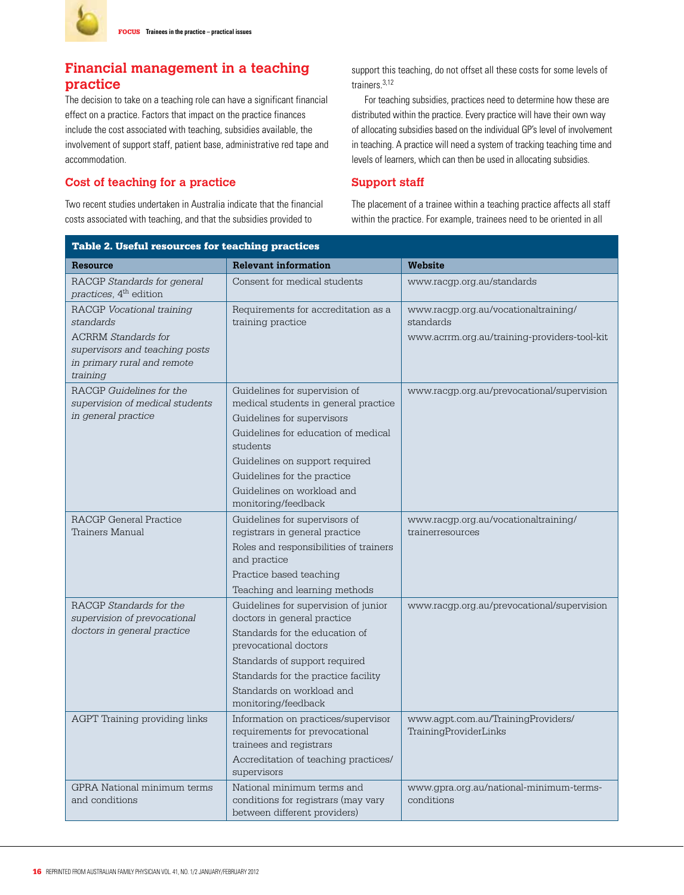# **Financial management in a teaching practice**

The decision to take on a teaching role can have a significant financial effect on a practice. Factors that impact on the practice finances include the cost associated with teaching, subsidies available, the involvement of support staff, patient base, administrative red tape and accommodation.

## **Cost of teaching for a practice**

Two recent studies undertaken in Australia indicate that the financial costs associated with teaching, and that the subsidies provided to

support this teaching, do not offset all these costs for some levels of trainers.3,12

For teaching subsidies, practices need to determine how these are distributed within the practice. Every practice will have their own way of allocating subsidies based on the individual GP's level of involvement in teaching. A practice will need a system of tracking teaching time and levels of learners, which can then be used in allocating subsidies.

## **Support staff**

The placement of a trainee within a teaching practice affects all staff within the practice. For example, trainees need to be oriented in all

| <b>Table 2. Useful resources for teaching practices</b>                                                                                           |                                                                                                                                                                                                                                                                              |                                                                                                   |  |
|---------------------------------------------------------------------------------------------------------------------------------------------------|------------------------------------------------------------------------------------------------------------------------------------------------------------------------------------------------------------------------------------------------------------------------------|---------------------------------------------------------------------------------------------------|--|
| <b>Resource</b>                                                                                                                                   | <b>Relevant information</b>                                                                                                                                                                                                                                                  | Website                                                                                           |  |
| RACGP Standards for general<br>practices, 4 <sup>th</sup> edition                                                                                 | Consent for medical students                                                                                                                                                                                                                                                 | www.racgp.org.au/standards                                                                        |  |
| RACGP Vocational training<br>standards<br><b>ACRRM</b> Standards for<br>supervisors and teaching posts<br>in primary rural and remote<br>training | Requirements for accreditation as a<br>training practice                                                                                                                                                                                                                     | www.racgp.org.au/vocationaltraining/<br>standards<br>www.acrrm.org.au/training-providers-tool-kit |  |
| RACGP Guidelines for the<br>supervision of medical students<br>in general practice                                                                | Guidelines for supervision of<br>medical students in general practice<br>Guidelines for supervisors<br>Guidelines for education of medical<br>students<br>Guidelines on support required<br>Guidelines for the practice<br>Guidelines on workload and<br>monitoring/feedback | www.racgp.org.au/prevocational/supervision                                                        |  |
| RACGP General Practice<br>Trainers Manual                                                                                                         | Guidelines for supervisors of<br>registrars in general practice<br>Roles and responsibilities of trainers<br>and practice<br>Practice based teaching<br>Teaching and learning methods                                                                                        | www.racgp.org.au/vocationaltraining/<br>trainerresources                                          |  |
| RACGP Standards for the<br>supervision of prevocational<br>doctors in general practice                                                            | Guidelines for supervision of junior<br>doctors in general practice<br>Standards for the education of<br>prevocational doctors<br>Standards of support required<br>Standards for the practice facility<br>Standards on workload and<br>monitoring/feedback                   | www.racgp.org.au/prevocational/supervision                                                        |  |
| AGPT Training providing links                                                                                                                     | Information on practices/supervisor<br>requirements for prevocational<br>trainees and registrars<br>Accreditation of teaching practices/<br>supervisors                                                                                                                      | www.agpt.com.au/TrainingProviders/<br>TrainingProviderLinks                                       |  |
| <b>GPRA</b> National minimum terms<br>and conditions                                                                                              | National minimum terms and<br>conditions for registrars (may vary<br>between different providers)                                                                                                                                                                            | www.gpra.org.au/national-minimum-terms-<br>conditions                                             |  |